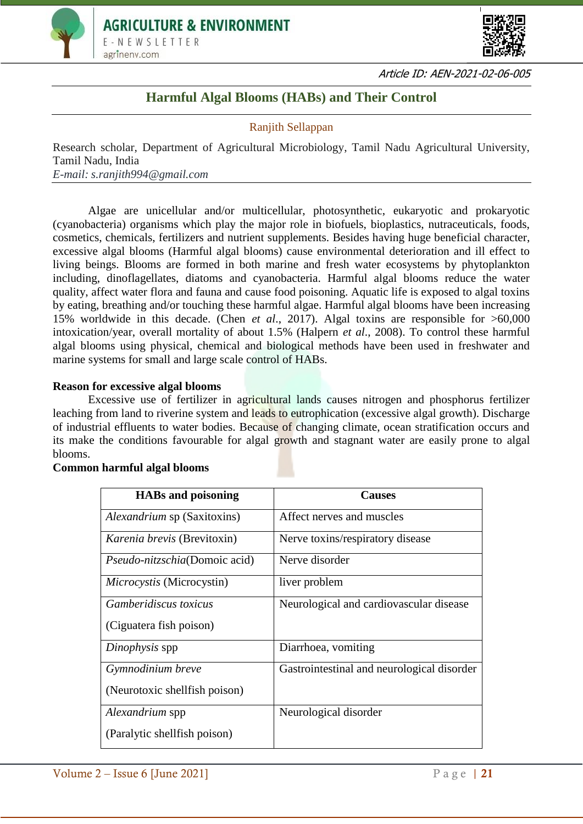



Article ID: AEN-2021-02-06-005

# **Harmful Algal Blooms (HABs) and Their Control**

## Ranjith Sellappan

Research scholar, Department of Agricultural Microbiology, Tamil Nadu Agricultural University, Tamil Nadu, India *E-mail: s.ranjith994@gmail.com*

Algae are unicellular and/or multicellular, photosynthetic, eukaryotic and prokaryotic (cyanobacteria) organisms which play the major role in biofuels, bioplastics, nutraceuticals, foods, cosmetics, chemicals, fertilizers and nutrient supplements. Besides having huge beneficial character, excessive algal blooms (Harmful algal blooms) cause environmental deterioration and ill effect to living beings. Blooms are formed in both marine and fresh water ecosystems by phytoplankton including, dinoflagellates, diatoms and cyanobacteria. Harmful algal blooms reduce the water quality, affect water flora and fauna and cause food poisoning. Aquatic life is exposed to algal toxins by eating, breathing and/or touching these harmful algae. Harmful algal blooms have been increasing 15% worldwide in this decade. (Chen *et al*., 2017). Algal toxins are responsible for >60,000 intoxication/year, overall mortality of about 1.5% (Halpern *et al*., 2008). To control these harmful algal blooms using physical, chemical and biological methods have been used in freshwater and marine systems for small and large scale control of HABs.

### **Reason for excessive algal blooms**

Excessive use of fertilizer in agricultural lands causes nitrogen and phosphorus fertilizer leaching from land to riverine system and leads to eutrophication (excessive algal growth). Discharge of industrial effluents to water bodies. Because of changing climate, ocean stratification occurs and its make the conditions favourable for algal growth and stagnant water are easily prone to algal blooms.

#### **Common harmful algal blooms**

| <b>HABs and poisoning</b>             | <b>Causes</b>                              |
|---------------------------------------|--------------------------------------------|
| Alexandrium sp (Saxitoxins)           | Affect nerves and muscles                  |
| <i>Karenia brevis</i> (Brevitoxin)    | Nerve toxins/respiratory disease           |
| <i>Pseudo-nitzschia</i> (Domoic acid) | Nerve disorder                             |
| Microcystis (Microcystin)             | liver problem                              |
| <i>Gamberidiscus toxicus</i>          | Neurological and cardiovascular disease    |
| (Ciguatera fish poison)               |                                            |
| Dinophysis spp                        | Diarrhoea, vomiting                        |
| Gymnodinium breve                     | Gastrointestinal and neurological disorder |
| (Neurotoxic shellfish poison)         |                                            |
| Alexandrium spp                       | Neurological disorder                      |
| (Paralytic shellfish poison)          |                                            |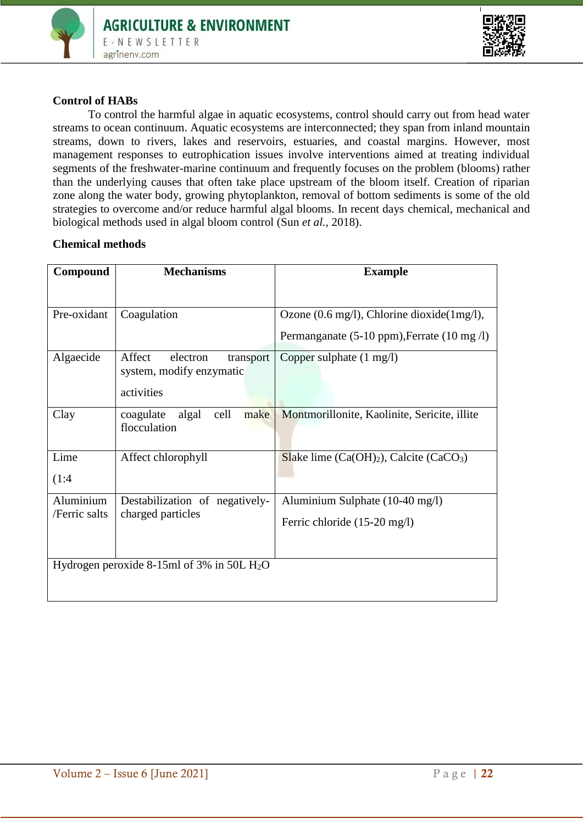



## **Control of HABs**

To control the harmful algae in aquatic ecosystems, control should carry out from head water streams to ocean continuum. Aquatic ecosystems are interconnected; they span from inland mountain streams, down to rivers, lakes and reservoirs, estuaries, and coastal margins. However, most management responses to eutrophication issues involve interventions aimed at treating individual segments of the freshwater-marine continuum and frequently focuses on the problem (blooms) rather than the underlying causes that often take place upstream of the bloom itself. Creation of riparian zone along the water body, growing phytoplankton, removal of bottom sediments is some of the old strategies to overcome and/or reduce harmful algal blooms. In recent days chemical, mechanical and biological methods used in algal bloom control (Sun *et al.,* 2018).

#### **Chemical methods**

| Compound                                     | <b>Mechanisms</b>                                                         | <b>Example</b>                                                     |
|----------------------------------------------|---------------------------------------------------------------------------|--------------------------------------------------------------------|
|                                              |                                                                           |                                                                    |
| Pre-oxidant                                  | Coagulation                                                               | Ozone $(0.6 \text{ mg/l})$ , Chlorine dioxide $(1 \text{ mg/l})$ , |
|                                              |                                                                           | Permanganate (5-10 ppm), Ferrate (10 mg/l)                         |
| Algaecide                                    | Affect<br>electron<br>transport<br>system, modify enzymatic<br>activities | Copper sulphate $(1 \text{ mg/l})$                                 |
| Clay                                         | make<br>coagulate<br>algal<br>cell<br>flocculation                        | Montmorillonite, Kaolinite, Sericite, illite                       |
| Lime<br>(1:4)                                | Affect chlorophyll                                                        | Slake lime $(Ca(OH)_2)$ , Calcite $(CaCO_3)$                       |
| Aluminium                                    | Destabilization of negatively-                                            | Aluminium Sulphate (10-40 mg/l)                                    |
| /Ferric salts                                | charged particles                                                         | Ferric chloride (15-20 mg/l)                                       |
| Hydrogen peroxide 8-15ml of 3% in 50L $H_2O$ |                                                                           |                                                                    |